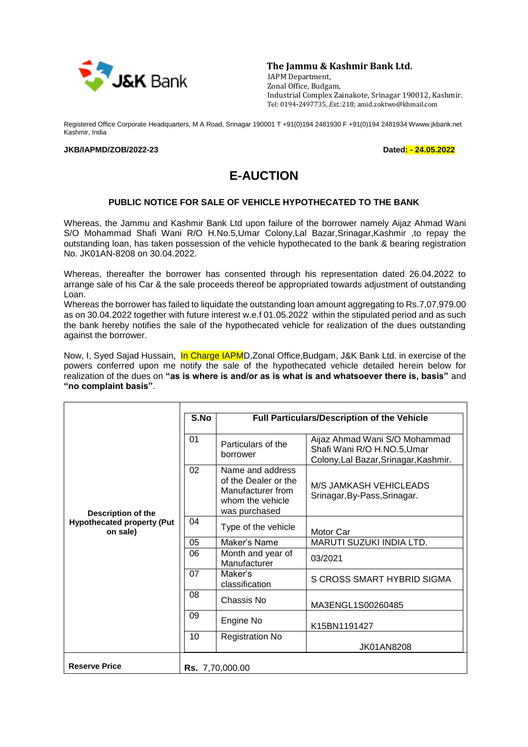

**The Jammu & Kashmir Bank Ltd.**

 IAPM Department, Zonal Office, Budgam, Industrial Complex Zainakote, Srinagar 190012, Kashmir. Tel: 0194**-**2497735, *Ext*.:218; amid.zoktwo@kbmail.com

Registered Office Corporate Headquarters, M A Road, Srinagar 190001 T +91(0)194 2481930 F +91(0)194 2481934 Wwww.jkbank.net Kashmir, India

## **JKB/IAPMD/ZOB/2022-23 Dated: - 24.05.2022**

## **E-AUCTION**

## **PUBLIC NOTICE FOR SALE OF VEHICLE HYPOTHECATED TO THE BANK**

Whereas, the Jammu and Kashmir Bank Ltd upon failure of the borrower namely Aijaz Ahmad Wani S/O Mohammad Shafi Wani R/O H.No.5,Umar Colony,Lal Bazar,Srinagar,Kashmir ,to repay the outstanding loan, has taken possession of the vehicle hypothecated to the bank & bearing registration No. JK01AN-8208 on 30.04.2022.

Whereas, thereafter the borrower has consented through his representation dated 26.04.2022 to arrange sale of his Car & the sale proceeds thereof be appropriated towards adjustment of outstanding Loan.

Whereas the borrower has failed to liquidate the outstanding loan amount aggregating to Rs.7,07,979.00 as on 30.04.2022 together with future interest w.e.f 01.05.2022 within the stipulated period and as such the bank hereby notifies the sale of the hypothecated vehicle for realization of the dues outstanding against the borrower.

Now, I, Syed Sajad Hussain, In Charge IAPMD, Zonal Office, Budgam, J&K Bank Ltd. in exercise of the powers conferred upon me notify the sale of the hypothecated vehicle detailed herein below for realization of the dues on **"as is where is and/or as is what is and whatsoever there is, basis"** and **"no complaint basis"**.

| Description of the<br><b>Hypothecated property (Put</b><br>on sale) | S.No | Full Particulars/Description of the Vehicle                                                        |                                                                                                       |  |
|---------------------------------------------------------------------|------|----------------------------------------------------------------------------------------------------|-------------------------------------------------------------------------------------------------------|--|
|                                                                     | 01   | Particulars of the<br>borrower                                                                     | Aijaz Ahmad Wani S/O Mohammad<br>Shafi Wani R/O H.NO.5, Umar<br>Colony, Lal Bazar, Srinagar, Kashmir. |  |
|                                                                     | 02   | Name and address<br>of the Dealer or the<br>Manufacturer from<br>whom the vehicle<br>was purchased | M/S JAMKASH VEHICLEADS<br>Srinagar, By-Pass, Srinagar.                                                |  |
|                                                                     | 04   | Type of the vehicle                                                                                | Motor Car                                                                                             |  |
|                                                                     | 05   | Maker's Name                                                                                       | MARUTI SUZUKI INDIA LTD.                                                                              |  |
|                                                                     | 06   | Month and year of<br>Manufacturer                                                                  | 03/2021                                                                                               |  |
|                                                                     | 07   | Maker's<br>classification                                                                          | S CROSS SMART HYBRID SIGMA                                                                            |  |
|                                                                     | 08   | Chassis No                                                                                         | MA3ENGL1S00260485                                                                                     |  |
|                                                                     | 09   | Engine No                                                                                          | K15BN1191427                                                                                          |  |
|                                                                     | 10   | <b>Registration No</b>                                                                             | <b>JK01AN8208</b>                                                                                     |  |
| <b>Reserve Price</b>                                                |      | <b>Rs.</b> 7,70,000.00                                                                             |                                                                                                       |  |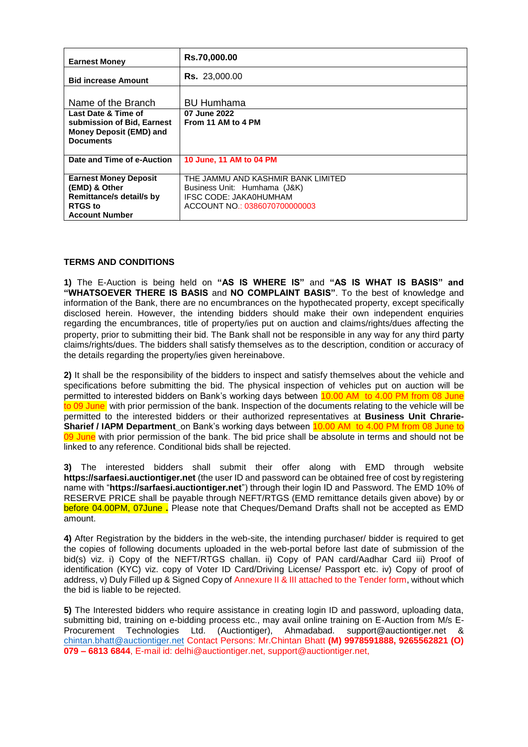| <b>Earnest Money</b>                                                                                                 | Rs.70,000.00                                                                                                                  |  |  |
|----------------------------------------------------------------------------------------------------------------------|-------------------------------------------------------------------------------------------------------------------------------|--|--|
| <b>Bid increase Amount</b>                                                                                           | <b>Rs.</b> 23,000.00                                                                                                          |  |  |
| Name of the Branch                                                                                                   | <b>BU Humhama</b>                                                                                                             |  |  |
| Last Date & Time of<br>submission of Bid, Earnest<br><b>Money Deposit (EMD) and</b><br><b>Documents</b>              | 07 June 2022<br>From 11 AM to 4 PM                                                                                            |  |  |
|                                                                                                                      |                                                                                                                               |  |  |
| Date and Time of e-Auction                                                                                           | 10 June, 11 AM to 04 PM                                                                                                       |  |  |
| <b>Earnest Money Deposit</b><br>(EMD) & Other<br>Remittance/s detail/s by<br><b>RTGS</b> to<br><b>Account Number</b> | THE JAMMU AND KASHMIR BANK LIMITED<br>Business Unit: Humhama (J&K)<br>IFSC CODE: JAKA0HUMHAM<br>ACCOUNT NO.: 0386070700000003 |  |  |

## **TERMS AND CONDITIONS**

**1)** The E-Auction is being held on **"AS IS WHERE IS"** and **"AS IS WHAT IS BASIS" and "WHATSOEVER THERE IS BASIS** and **NO COMPLAINT BASIS"**. To the best of knowledge and information of the Bank, there are no encumbrances on the hypothecated property, except specifically disclosed herein. However, the intending bidders should make their own independent enquiries regarding the encumbrances, title of property/ies put on auction and claims/rights/dues affecting the property, prior to submitting their bid. The Bank shall not be responsible in any way for any third party claims/rights/dues. The bidders shall satisfy themselves as to the description, condition or accuracy of the details regarding the property/ies given hereinabove.

**2)** It shall be the responsibility of the bidders to inspect and satisfy themselves about the vehicle and specifications before submitting the bid. The physical inspection of vehicles put on auction will be permitted to interested bidders on Bank's working days between 10.00 AM to 4.00 PM from 08 June to 09 June, with prior permission of the bank. Inspection of the documents relating to the vehicle will be permitted to the interested bidders or their authorized representatives at **Business Unit Chrarie-Sharief / IAPM Department** on Bank's working days between 10.00 AM to 4.00 PM from 08 June to 09 June with prior permission of the bank. The bid price shall be absolute in terms and should not be linked to any reference. Conditional bids shall be rejected.

**3)** The interested bidders shall submit their offer along with EMD through website **https://sarfaesi.auctiontiger.net** (the user ID and password can be obtained free of cost by registering name with "**https://sarfaesi.auctiontiger.net**") through their login ID and Password. The EMD 10% of RESERVE PRICE shall be payable through NEFT/RTGS (EMD remittance details given above) by or before 04.00PM, 07June **.** Please note that Cheques/Demand Drafts shall not be accepted as EMD amount.

**4)** After Registration by the bidders in the web-site, the intending purchaser/ bidder is required to get the copies of following documents uploaded in the web-portal before last date of submission of the bid(s) viz. i) Copy of the NEFT/RTGS challan. ii) Copy of PAN card/Aadhar Card iii) Proof of identification (KYC) viz. copy of Voter ID Card/Driving License/ Passport etc. iv) Copy of proof of address, v) Duly Filled up & Signed Copy of Annexure II & III attached to the Tender form, without which the bid is liable to be rejected.

**5)** The Interested bidders who require assistance in creating login ID and password, uploading data, submitting bid, training on e-bidding process etc., may avail online training on E-Auction from M/s E-Procurement Technologies Ltd. (Auctiontiger), Ahmadabad. support@auctiontiger.net & [chintan.bhatt@auctiontiger.net](mailto:chintan.bhatt@auctiontiger.net) Contact Persons: Mr.Chintan Bhatt **(M) 9978591888, 9265562821 (O) 079 – 6813 6844**, E-mail id: delhi@auctiontiger.net, support@auctiontiger.net,